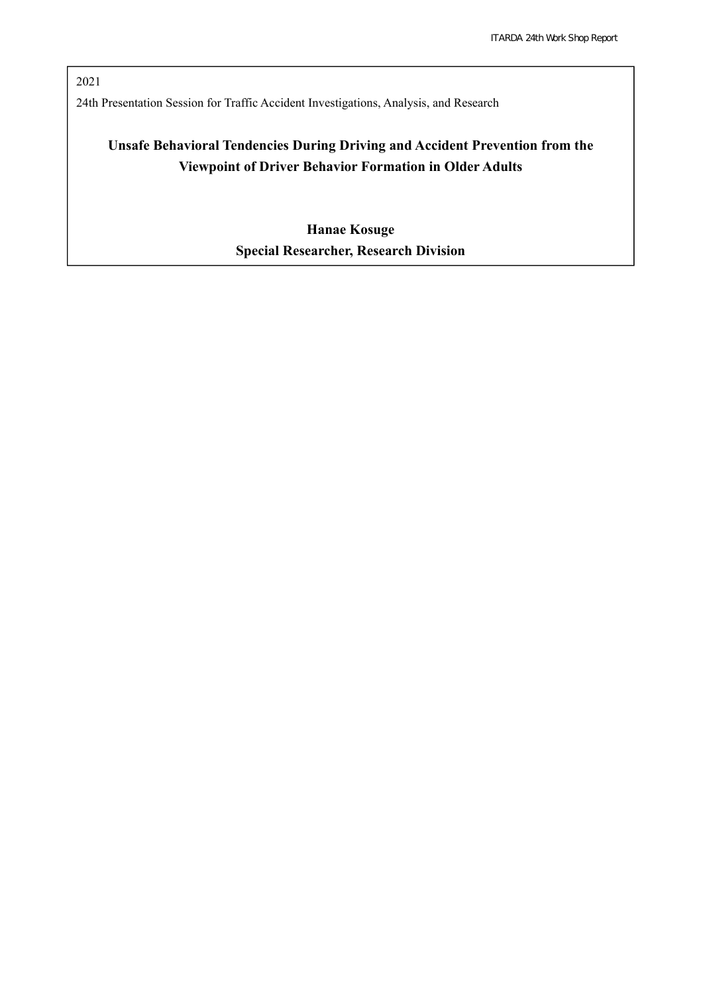2021 24th Presentation Session for Traffic Accident Investigations, Analysis, and Research

# **Unsafe Behavioral Tendencies During Driving and Accident Prevention from the Viewpoint of Driver Behavior Formation in Older Adults**

**Hanae Kosuge Special Researcher, Research Division**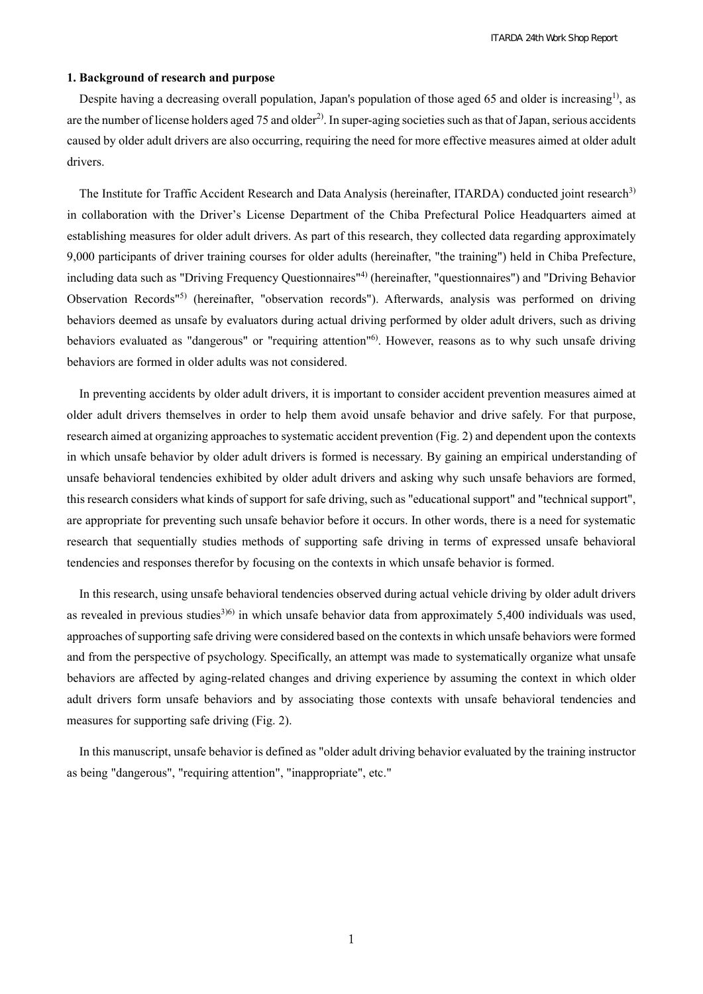# **1. Background of research and purpose**

Despite having a decreasing overall population, Japan's population of those aged 65 and older is increasing<sup>1)</sup>, as are the number of license holders aged 75 and older<sup>2)</sup>. In super-aging societies such as that of Japan, serious accidents caused by older adult drivers are also occurring, requiring the need for more effective measures aimed at older adult drivers.

The Institute for Traffic Accident Research and Data Analysis (hereinafter, ITARDA) conducted joint research<sup>3)</sup> in collaboration with the Driver's License Department of the Chiba Prefectural Police Headquarters aimed at establishing measures for older adult drivers. As part of this research, they collected data regarding approximately 9,000 participants of driver training courses for older adults (hereinafter, "the training") held in Chiba Prefecture, including data such as "Driving Frequency Questionnaires"4) (hereinafter, "questionnaires") and "Driving Behavior Observation Records"5) (hereinafter, "observation records"). Afterwards, analysis was performed on driving behaviors deemed as unsafe by evaluators during actual driving performed by older adult drivers, such as driving behaviors evaluated as "dangerous" or "requiring attention"<sup>6)</sup>. However, reasons as to why such unsafe driving behaviors are formed in older adults was not considered.

In preventing accidents by older adult drivers, it is important to consider accident prevention measures aimed at older adult drivers themselves in order to help them avoid unsafe behavior and drive safely. For that purpose, research aimed at organizing approaches to systematic accident prevention (Fig. 2) and dependent upon the contexts in which unsafe behavior by older adult drivers is formed is necessary. By gaining an empirical understanding of unsafe behavioral tendencies exhibited by older adult drivers and asking why such unsafe behaviors are formed, this research considers what kinds of support for safe driving, such as "educational support" and "technical support", are appropriate for preventing such unsafe behavior before it occurs. In other words, there is a need for systematic research that sequentially studies methods of supporting safe driving in terms of expressed unsafe behavioral tendencies and responses therefor by focusing on the contexts in which unsafe behavior is formed.

In this research, using unsafe behavioral tendencies observed during actual vehicle driving by older adult drivers as revealed in previous studies<sup>3)6)</sup> in which unsafe behavior data from approximately 5,400 individuals was used, approaches of supporting safe driving were considered based on the contexts in which unsafe behaviors were formed and from the perspective of psychology. Specifically, an attempt was made to systematically organize what unsafe behaviors are affected by aging-related changes and driving experience by assuming the context in which older adult drivers form unsafe behaviors and by associating those contexts with unsafe behavioral tendencies and measures for supporting safe driving (Fig. 2).

In this manuscript, unsafe behavior is defined as "older adult driving behavior evaluated by the training instructor as being "dangerous", "requiring attention", "inappropriate", etc."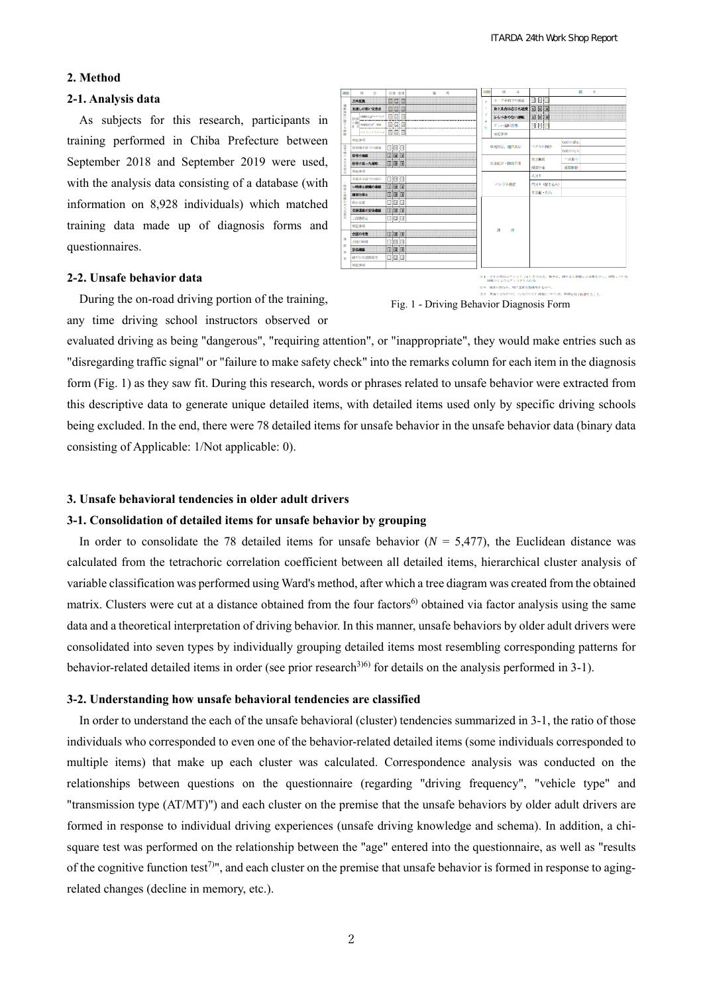# **2. Method**

#### **2-1. Analysis data**

As subjects for this research, participants in training performed in Chiba Prefecture between September 2018 and September 2019 were used, with the analysis data consisting of a database (with information on 8,928 individuals) which matched training data made up of diagnosis forms and questionnaires.

# **2-2. Unsafe behavior data**

During the on-road driving portion of the training, any time driving school instructors observed or





evaluated driving as being "dangerous", "requiring attention", or "inappropriate", they would make entries such as "disregarding traffic signal" or "failure to make safety check" into the remarks column for each item in the diagnosis form (Fig. 1) as they saw fit. During this research, words or phrases related to unsafe behavior were extracted from this descriptive data to generate unique detailed items, with detailed items used only by specific driving schools being excluded. In the end, there were 78 detailed items for unsafe behavior in the unsafe behavior data (binary data consisting of Applicable: 1/Not applicable: 0).

#### **3. Unsafe behavioral tendencies in older adult drivers**

# **3-1. Consolidation of detailed items for unsafe behavior by grouping**

In order to consolidate the 78 detailed items for unsafe behavior  $(N = 5,477)$ , the Euclidean distance was calculated from the tetrachoric correlation coefficient between all detailed items, hierarchical cluster analysis of variable classification was performed using Ward's method, after which a tree diagram was created from the obtained matrix. Clusters were cut at a distance obtained from the four factors<sup>6)</sup> obtained via factor analysis using the same data and a theoretical interpretation of driving behavior. In this manner, unsafe behaviors by older adult drivers were consolidated into seven types by individually grouping detailed items most resembling corresponding patterns for behavior-related detailed items in order (see prior research<sup>3)6)</sup> for details on the analysis performed in 3-1).

#### **3-2. Understanding how unsafe behavioral tendencies are classified**

In order to understand the each of the unsafe behavioral (cluster) tendencies summarized in 3-1, the ratio of those individuals who corresponded to even one of the behavior-related detailed items (some individuals corresponded to multiple items) that make up each cluster was calculated. Correspondence analysis was conducted on the relationships between questions on the questionnaire (regarding "driving frequency", "vehicle type" and "transmission type (AT/MT)") and each cluster on the premise that the unsafe behaviors by older adult drivers are formed in response to individual driving experiences (unsafe driving knowledge and schema). In addition, a chisquare test was performed on the relationship between the "age" entered into the questionnaire, as well as "results of the cognitive function test<sup>7)</sup>", and each cluster on the premise that unsafe behavior is formed in response to agingrelated changes (decline in memory, etc.).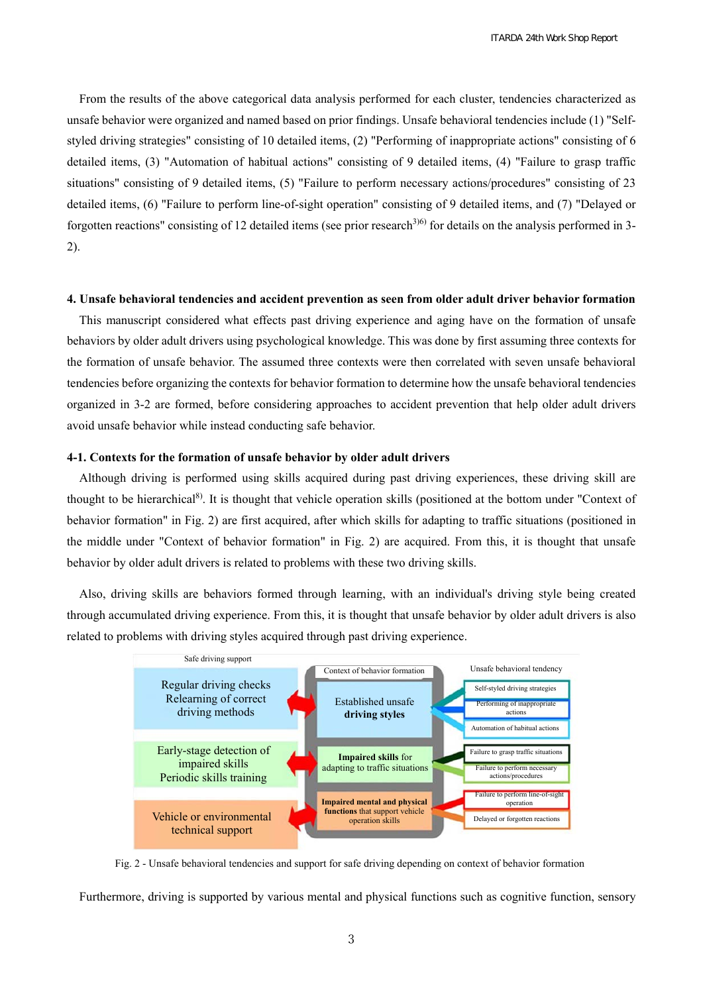From the results of the above categorical data analysis performed for each cluster, tendencies characterized as unsafe behavior were organized and named based on prior findings. Unsafe behavioral tendencies include (1) "Selfstyled driving strategies" consisting of 10 detailed items, (2) "Performing of inappropriate actions" consisting of 6 detailed items, (3) "Automation of habitual actions" consisting of 9 detailed items, (4) "Failure to grasp traffic situations" consisting of 9 detailed items, (5) "Failure to perform necessary actions/procedures" consisting of 23 detailed items, (6) "Failure to perform line-of-sight operation" consisting of 9 detailed items, and (7) "Delayed or forgotten reactions" consisting of 12 detailed items (see prior research<sup>3)6)</sup> for details on the analysis performed in 3-2).

#### **4. Unsafe behavioral tendencies and accident prevention as seen from older adult driver behavior formation**

This manuscript considered what effects past driving experience and aging have on the formation of unsafe behaviors by older adult drivers using psychological knowledge. This was done by first assuming three contexts for the formation of unsafe behavior. The assumed three contexts were then correlated with seven unsafe behavioral tendencies before organizing the contexts for behavior formation to determine how the unsafe behavioral tendencies organized in 3-2 are formed, before considering approaches to accident prevention that help older adult drivers avoid unsafe behavior while instead conducting safe behavior.

### **4-1. Contexts for the formation of unsafe behavior by older adult drivers**

Although driving is performed using skills acquired during past driving experiences, these driving skill are thought to be hierarchical<sup>8)</sup>. It is thought that vehicle operation skills (positioned at the bottom under "Context of behavior formation" in Fig. 2) are first acquired, after which skills for adapting to traffic situations (positioned in the middle under "Context of behavior formation" in Fig. 2) are acquired. From this, it is thought that unsafe behavior by older adult drivers is related to problems with these two driving skills.

Also, driving skills are behaviors formed through learning, with an individual's driving style being created through accumulated driving experience. From this, it is thought that unsafe behavior by older adult drivers is also related to problems with driving styles acquired through past driving experience.



Fig. 2 - Unsafe behavioral tendencies and support for safe driving depending on context of behavior formation

Furthermore, driving is supported by various mental and physical functions such as cognitive function, sensory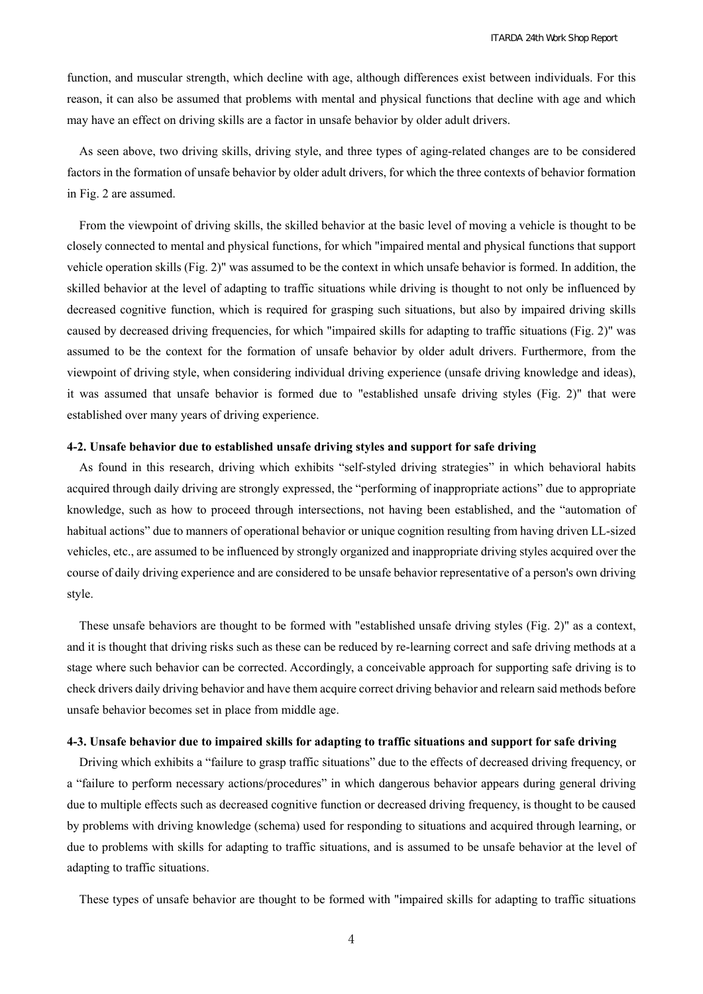function, and muscular strength, which decline with age, although differences exist between individuals. For this reason, it can also be assumed that problems with mental and physical functions that decline with age and which may have an effect on driving skills are a factor in unsafe behavior by older adult drivers.

As seen above, two driving skills, driving style, and three types of aging-related changes are to be considered factors in the formation of unsafe behavior by older adult drivers, for which the three contexts of behavior formation in Fig. 2 are assumed.

From the viewpoint of driving skills, the skilled behavior at the basic level of moving a vehicle is thought to be closely connected to mental and physical functions, for which "impaired mental and physical functions that support vehicle operation skills (Fig. 2)" was assumed to be the context in which unsafe behavior is formed. In addition, the skilled behavior at the level of adapting to traffic situations while driving is thought to not only be influenced by decreased cognitive function, which is required for grasping such situations, but also by impaired driving skills caused by decreased driving frequencies, for which "impaired skills for adapting to traffic situations (Fig. 2)" was assumed to be the context for the formation of unsafe behavior by older adult drivers. Furthermore, from the viewpoint of driving style, when considering individual driving experience (unsafe driving knowledge and ideas), it was assumed that unsafe behavior is formed due to "established unsafe driving styles (Fig. 2)" that were established over many years of driving experience.

# **4-2. Unsafe behavior due to established unsafe driving styles and support for safe driving**

As found in this research, driving which exhibits "self-styled driving strategies" in which behavioral habits acquired through daily driving are strongly expressed, the "performing of inappropriate actions" due to appropriate knowledge, such as how to proceed through intersections, not having been established, and the "automation of habitual actions" due to manners of operational behavior or unique cognition resulting from having driven LL-sized vehicles, etc., are assumed to be influenced by strongly organized and inappropriate driving styles acquired over the course of daily driving experience and are considered to be unsafe behavior representative of a person's own driving style.

These unsafe behaviors are thought to be formed with "established unsafe driving styles (Fig. 2)" as a context, and it is thought that driving risks such as these can be reduced by re-learning correct and safe driving methods at a stage where such behavior can be corrected. Accordingly, a conceivable approach for supporting safe driving is to check drivers daily driving behavior and have them acquire correct driving behavior and relearn said methods before unsafe behavior becomes set in place from middle age.

# **4-3. Unsafe behavior due to impaired skills for adapting to traffic situations and support for safe driving**

Driving which exhibits a "failure to grasp traffic situations" due to the effects of decreased driving frequency, or a "failure to perform necessary actions/procedures" in which dangerous behavior appears during general driving due to multiple effects such as decreased cognitive function or decreased driving frequency, is thought to be caused by problems with driving knowledge (schema) used for responding to situations and acquired through learning, or due to problems with skills for adapting to traffic situations, and is assumed to be unsafe behavior at the level of adapting to traffic situations.

These types of unsafe behavior are thought to be formed with "impaired skills for adapting to traffic situations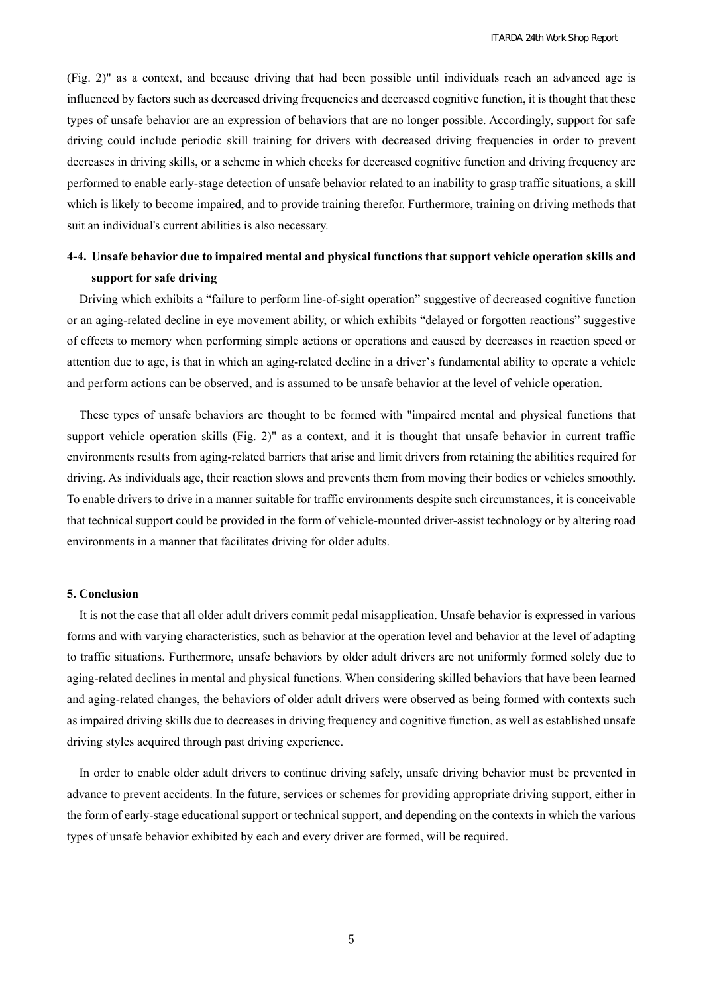(Fig. 2)" as a context, and because driving that had been possible until individuals reach an advanced age is influenced by factors such as decreased driving frequencies and decreased cognitive function, it is thought that these types of unsafe behavior are an expression of behaviors that are no longer possible. Accordingly, support for safe driving could include periodic skill training for drivers with decreased driving frequencies in order to prevent decreases in driving skills, or a scheme in which checks for decreased cognitive function and driving frequency are performed to enable early-stage detection of unsafe behavior related to an inability to grasp traffic situations, a skill which is likely to become impaired, and to provide training therefor. Furthermore, training on driving methods that suit an individual's current abilities is also necessary.

# **4-4. Unsafe behavior due to impaired mental and physical functions that support vehicle operation skills and support for safe driving**

Driving which exhibits a "failure to perform line-of-sight operation" suggestive of decreased cognitive function or an aging-related decline in eye movement ability, or which exhibits "delayed or forgotten reactions" suggestive of effects to memory when performing simple actions or operations and caused by decreases in reaction speed or attention due to age, is that in which an aging-related decline in a driver's fundamental ability to operate a vehicle and perform actions can be observed, and is assumed to be unsafe behavior at the level of vehicle operation.

These types of unsafe behaviors are thought to be formed with "impaired mental and physical functions that support vehicle operation skills (Fig. 2)" as a context, and it is thought that unsafe behavior in current traffic environments results from aging-related barriers that arise and limit drivers from retaining the abilities required for driving. As individuals age, their reaction slows and prevents them from moving their bodies or vehicles smoothly. To enable drivers to drive in a manner suitable for traffic environments despite such circumstances, it is conceivable that technical support could be provided in the form of vehicle-mounted driver-assist technology or by altering road environments in a manner that facilitates driving for older adults.

# **5. Conclusion**

It is not the case that all older adult drivers commit pedal misapplication. Unsafe behavior is expressed in various forms and with varying characteristics, such as behavior at the operation level and behavior at the level of adapting to traffic situations. Furthermore, unsafe behaviors by older adult drivers are not uniformly formed solely due to aging-related declines in mental and physical functions. When considering skilled behaviors that have been learned and aging-related changes, the behaviors of older adult drivers were observed as being formed with contexts such as impaired driving skills due to decreases in driving frequency and cognitive function, as well as established unsafe driving styles acquired through past driving experience.

In order to enable older adult drivers to continue driving safely, unsafe driving behavior must be prevented in advance to prevent accidents. In the future, services or schemes for providing appropriate driving support, either in the form of early-stage educational support or technical support, and depending on the contexts in which the various types of unsafe behavior exhibited by each and every driver are formed, will be required.

5